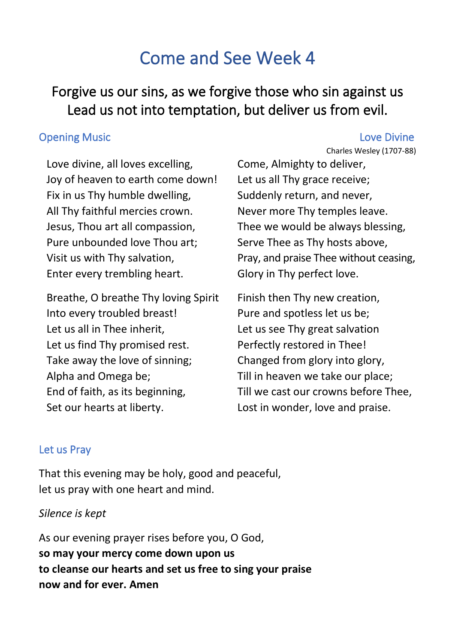# Come and See Week 4

## Forgive us our sins, as we forgive those who sin against us Lead us not into temptation, but deliver us from evil.

#### **Opening Music Love Divine**

Love divine, all loves excelling, Joy of heaven to earth come down! Fix in us Thy humble dwelling, All Thy faithful mercies crown. Jesus, Thou art all compassion, Pure unbounded love Thou art; Visit us with Thy salvation, Enter every trembling heart.

Breathe, O breathe Thy loving Spirit Into every troubled breast! Let us all in Thee inherit, Let us find Thy promised rest. Take away the love of sinning; Alpha and Omega be; End of faith, as its beginning, Set our hearts at liberty.

Charles Wesley (1707-88) Come, Almighty to deliver, Let us all Thy grace receive; Suddenly return, and never, Never more Thy temples leave. Thee we would be always blessing, Serve Thee as Thy hosts above, Pray, and praise Thee without ceasing, Glory in Thy perfect love.

Finish then Thy new creation, Pure and spotless let us be; Let us see Thy great salvation Perfectly restored in Thee! Changed from glory into glory, Till in heaven we take our place; Till we cast our crowns before Thee, Lost in wonder, love and praise.

#### Let us Pray

That this evening may be holy, good and peaceful, let us pray with one heart and mind.

### *Silence is kept*

As our evening prayer rises before you, O God, **so may your mercy come down upon us to cleanse our hearts and set us free to sing your praise now and for ever. Amen**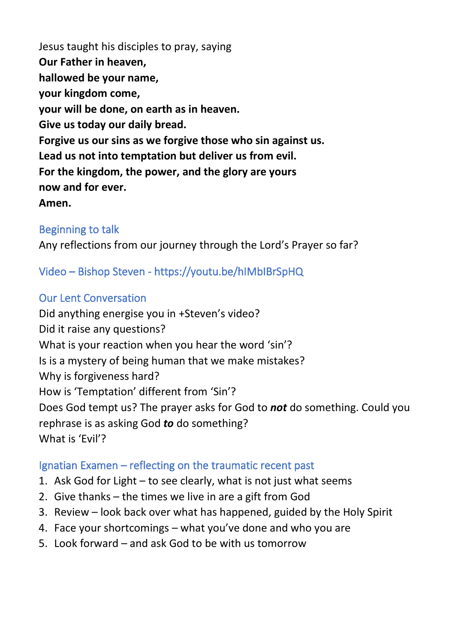Jesus taught his disciples to pray, saying **Our Father in heaven, hallowed be your name, your kingdom come, your will be done, on earth as in heaven. Give us today our daily bread. Forgive us our sins as we forgive those who sin against us. Lead us not into temptation but deliver us from evil. For the kingdom, the power, and the glory are yours now and for ever. Amen.**

### Beginning to talk

Any reflections from our journey through the Lord's Prayer so far?

Video – Bishop Steven - https://youtu.be/hIMbIBrSpHQ

#### Our Lent Conversation

Did anything energise you in +Steven's video? Did it raise any questions? What is your reaction when you hear the word 'sin'? Is is a mystery of being human that we make mistakes? Why is forgiveness hard? How is 'Temptation' different from 'Sin'? Does God tempt us? The prayer asks for God to *not* do something. Could you rephrase is as asking God *to* do something? What is 'Evil'?

#### Ignatian Examen – reflecting on the traumatic recent past

- 1. Ask God for Light to see clearly, what is not just what seems
- 2. Give thanks the times we live in are a gift from God
- 3. Review look back over what has happened, guided by the Holy Spirit
- 4. Face your shortcomings what you've done and who you are
- 5. Look forward and ask God to be with us tomorrow